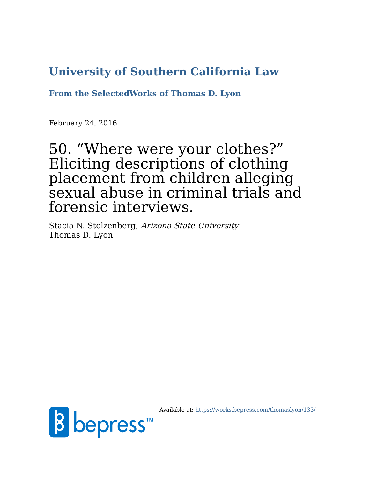# **[University of Southern California Law](http://gould.usc.edu/)**

**[From the SelectedWorks of Thomas D. Lyon](https://works.bepress.com/thomaslyon/)**

February 24, 2016

# 50. "Where were your clothes?" Eliciting descriptions of clothing placement from children alleging sexual abuse in criminal trials and forensic interviews.

Stacia N. Stolzenberg, Arizona State University Thomas D. Lyon



Available at: <https://works.bepress.com/thomaslyon/133/>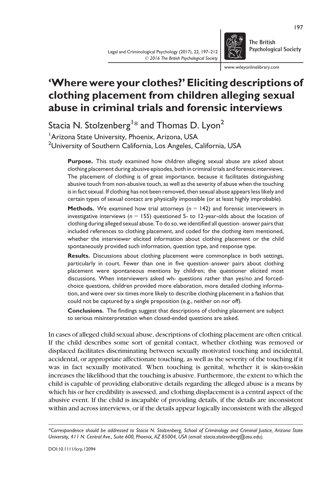

The British **Psychological Society** 

www.wileyonlinelibrary.com

# 'Where were your clothes?' Eliciting descriptions of clothing placement from children alleging sexual abuse in criminal trials and forensic interviews

Stacia N. Stolzenberg $^{\mathrm{I}*}$  and Thomas D. Lyon $^2$ 

1 Arizona State University, Phoenix, Arizona, USA  $^2$ University of Southern California, Los Angeles, California, USA

Purpose. This study examined how children alleging sexual abuse are asked about clothing placement during abusive episodes, both in criminal trials and forensic interviews. The placement of clothing is of great importance, because it facilitates distinguishing abusive touch from non-abusive touch, as well as the severity of abuse when the touching is in fact sexual. If clothing has not been removed, then sexual abuse appears less likely and certain types of sexual contact are physically impossible (or at least highly improbable).

**Methods.** We examined how trial attorneys ( $n = 142$ ) and forensic interviewers in investigative interviews ( $n = 155$ ) questioned 5- to 12-year-olds about the location of clothing during alleged sexual abuse. To do so, we identified all question–answer pairs that included references to clothing placement, and coded for the clothing item mentioned, whether the interviewer elicited information about clothing placement or the child spontaneously provided such information, question type, and response type.

Results. Discussions about clothing placement were commonplace in both settings, particularly in court. Fewer than one in five question–answer pairs about clothing placement were spontaneous mentions by children; the questioner elicited most discussions. When interviewers asked wh- questions rather than yes/no and forcedchoice questions, children provided more elaboration, more detailed clothing information, and were over six times more likely to describe clothing placement in a fashion that could not be captured by a single preposition (e.g., neither on nor off).

Conclusions. The findings suggest that descriptions of clothing placement are subject to serious misinterpretation when closed-ended questions are asked.

In cases of alleged child sexual abuse, descriptions of clothing placement are often critical. If the child describes some sort of genital contact, whether clothing was removed or displaced facilitates discriminating between sexually motivated touching and incidental, accidental, or appropriate affectionate touching, as well as the severity of the touching if it was in fact sexually motivated. When touching is genital, whether it is skin-to-skin increases the likelihood that the touching is abusive. Furthermore, the extent to which the child is capable of providing elaborative details regarding the alleged abuse is a means by which his or her credibility is assessed, and clothing displacement is a central aspect of the abusive event. If the child is incapable of providing details, if the details are inconsistent within and across interviews, or if the details appear logically inconsistent with the alleged

<sup>\*</sup>Correspondence should be addressed to Stacia N. Stolzenberg, School of Criminology and Criminal Justice, Arizona State University, 411 N. Central Ave., Suite 600, Phoenix, AZ 85004, USA (email: stacia.stolzenberg@asu.edu).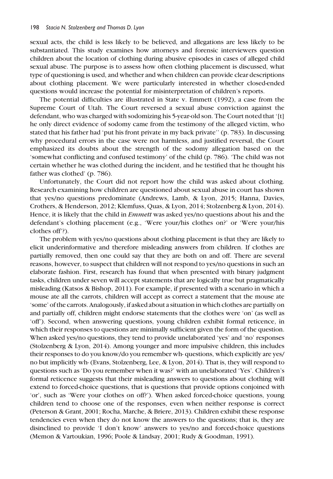sexual acts, the child is less likely to be believed, and allegations are less likely to be substantiated. This study examines how attorneys and forensic interviewers question children about the location of clothing during abusive episodes in cases of alleged child sexual abuse. The purpose is to assess how often clothing placement is discussed, what type of questioning is used, and whether and when children can provide clear descriptions about clothing placement. We were particularly interested in whether closed-ended questions would increase the potential for misinterpretation of children's reports.

The potential difficulties are illustrated in State v. Emmett (1992), a case from the Supreme Court of Utah. The Court reversed a sexual abuse conviction against the defendant, who was charged with sodomizing his 5-year-old son. The Court noted that '[t] he only direct evidence of sodomy came from the testimony of the alleged victim, who stated that his father had 'put his front private in my back private'' (p. 783). In discussing why procedural errors in the case were not harmless, and justified reversal, the Court emphasized its doubts about the strength of the sodomy allegation based on the 'somewhat conflicting and confused testimony' of the child (p. 786). 'The child was not certain whether he was clothed during the incident, and he testified that he thought his father was clothed' (p. 786).

Unfortunately, the Court did not report how the child was asked about clothing. Research examining how children are questioned about sexual abuse in court has shown that yes/no questions predominate (Andrews, Lamb, & Lyon, 2015; Hanna, Davies, Crothers, & Henderson, 2012; Klemfuss, Quas, & Lyon, 2014; Stolzenberg & Lyon, 2014). Hence, it is likely that the child in Emmett was asked yes/no questions about his and the defendant's clothing placement (e.g., 'Were your/his clothes on?' or 'Were your/his clothes off'?).

The problem with yes/no questions about clothing placement is that they are likely to elicit underinformative and therefore misleading answers from children. If clothes are partially removed, then one could say that they are both on and off. There are several reasons, however, to suspect that children will not respond to yes/no questions in such an elaborate fashion. First, research has found that when presented with binary judgment tasks, children under seven will accept statements that are logically true but pragmatically misleading (Katsos & Bishop, 2011). For example, if presented with a scenario in which a mouse ate all the carrots, children will accept as correct a statement that the mouse ate 'some' of the carrots. Analogously, if asked about a situation in which clothes are partially on and partially off, children might endorse statements that the clothes were 'on' (as well as 'off'). Second, when answering questions, young children exhibit formal reticence, in which their responses to questions are minimally sufficient given the form of the question. When asked yes/no questions, they tend to provide unelaborated 'yes' and 'no' responses (Stolzenberg & Lyon, 2014). Among younger and more impulsive children, this includes their responses to do you know/do you remember wh- questions, which explicitly are yes/ no but implicitly wh- (Evans, Stolzenberg, Lee, & Lyon, 2014). That is, they will respond to questions such as 'Do you remember when it was?' with an unelaborated 'Yes'. Children's formal reticence suggests that their misleading answers to questions about clothing will extend to forced-choice questions, that is questions that provide options conjoined with 'or', such as 'Were your clothes on off?'). When asked forced-choice questions, young children tend to choose one of the responses, even when neither response is correct (Peterson & Grant, 2001; Rocha, Marche, & Briere, 2013). Children exhibit these response tendencies even when they do not know the answers to the questions; that is, they are disinclined to provide 'I don't know' answers to yes/no and forced-choice questions (Memon & Vartoukian, 1996; Poole & Lindsay, 2001; Rudy & Goodman, 1991).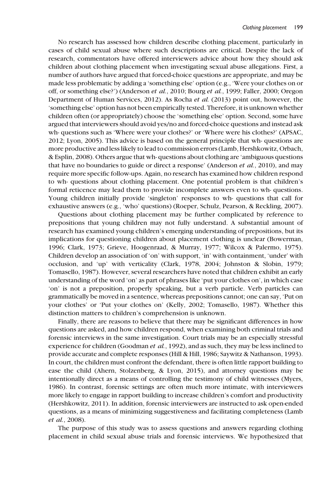No research has assessed how children describe clothing placement, particularly in cases of child sexual abuse where such descriptions are critical. Despite the lack of research, commentators have offered interviewers advice about how they should ask children about clothing placement when investigating sexual abuse allegations. First, a number of authors have argued that forced-choice questions are appropriate, and may be made less problematic by adding a 'something else' option (e.g., 'Were your clothes on or off, or something else?') (Anderson et al., 2010; Bourg et al., 1999; Faller, 2000; Oregon Department of Human Services, 2012). As Rocha et al. (2013) point out, however, the 'something else' option has not been empirically tested. Therefore, it is unknown whether children often (or appropriately) choose the 'something else' option. Second, some have argued that interviewers should avoid yes/no and forced-choice questions and instead ask wh- questions such as 'Where were your clothes?' or 'Where were his clothes?' (APSAC, 2012; Lyon, 2005). This advice is based on the general principle that wh- questions are more productive and less likely to lead to commission errors (Lamb, Hershkowitz, Orbach, & Esplin, 2008). Others argue that wh- questions about clothing are 'ambiguous questions that have no boundaries to guide or direct a response' (Anderson *et al.*, 2010), and may require more specific follow-ups. Again, no research has examined how children respond to wh- questions about clothing placement. One potential problem is that children's formal reticence may lead them to provide incomplete answers even to wh- questions. Young children initially provide 'singleton' responses to wh- questions that call for exhaustive answers (e.g., 'who' questions) (Roeper, Schulz, Pearson, & Reckling, 2007).

Questions about clothing placement may be further complicated by reference to prepositions that young children may not fully understand. A substantial amount of research has examined young children's emerging understanding of prepositions, but its implications for questioning children about placement clothing is unclear (Bowerman, 1996; Clark, 1973; Grieve, Hoogenraad, & Murray, 1977; Wilcox & Palermo, 1975). Children develop an association of 'on' with support, 'in' with containment, 'under' with occlusion, and 'up' with verticality (Clark, 1978, 2004; Johnston & Slobin, 1979; Tomasello, 1987). However, several researchers have noted that children exhibit an early understanding of the word 'on' as part of phrases like 'put your clothes on', in which case 'on' is not a preposition, properly speaking, but a verb particle. Verb particles can grammatically be moved in a sentence, whereas prepositions cannot; one can say, 'Put on your clothes' or 'Put your clothes on' (Kelly, 2002; Tomasello, 1987). Whether this distinction matters to children's comprehension is unknown.

Finally, there are reasons to believe that there may be significant differences in how questions are asked, and how children respond, when examining both criminal trials and forensic interviews in the same investigation. Court trials may be an especially stressful experience for children (Goodman *et al.*, 1992), and as such, they may be less inclined to provide accurate and complete responses (Hill & Hill, 1986; Saywitz & Nathanson, 1993). In court, the children must confront the defendant, there is often little rapport building to ease the child (Ahern, Stolzenberg, & Lyon, 2015), and attorney questions may be intentionally direct as a means of controlling the testimony of child witnesses (Myers, 1986). In contrast, forensic settings are often much more intimate, with interviewers more likely to engage in rapport building to increase children's comfort and productivity (Hershkowitz, 2011). In addition, forensic interviewers are instructed to ask open-ended questions, as a means of minimizing suggestiveness and facilitating completeness (Lamb et al., 2008).

The purpose of this study was to assess questions and answers regarding clothing placement in child sexual abuse trials and forensic interviews. We hypothesized that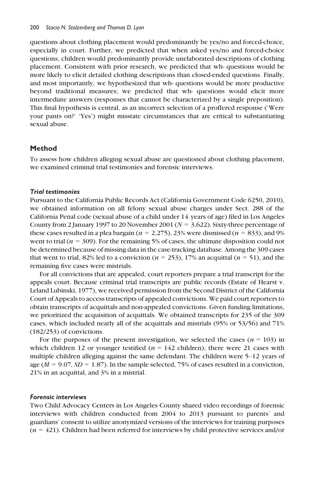questions about clothing placement would predominantly be yes/no and forced-choice, especially in court. Further, we predicted that when asked yes/no and forced-choice questions, children would predominantly provide unelaborated descriptions of clothing placement. Consistent with prior research, we predicted that wh- questions would be more likely to elicit detailed clothing descriptions than closed-ended questions. Finally, and most importantly, we hypothesized that wh- questions would be more productive beyond traditional measures; we predicted that wh- questions would elicit more intermediate answers (responses that cannot be characterized by a single preposition). This final hypothesis is central, as an incorrect selection of a proffered response ('Were your pants on?' 'Yes') might misstate circumstances that are critical to substantiating sexual abuse.

# Method

To assess how children alleging sexual abuse are questioned about clothing placement, we examined criminal trial testimonies and forensic interviews.

#### Trial testimonies

Pursuant to the California Public Records Act (California Government Code 6250, 2010), we obtained information on all felony sexual abuse charges under Sect. 288 of the California Penal code (sexual abuse of a child under 14 years of age) filed in Los Angeles County from 2 January 1997 to 20 November 2001 ( $N = 3,622$ ). Sixty-three percentage of these cases resulted in a plea bargain ( $n = 2,275$ ), 23% were dismissed ( $n = 833$ ), and 9% went to trial ( $n = 309$ ). For the remaining 5% of cases, the ultimate disposition could not be determined because of missing data in the case-tracking database. Among the 309 cases that went to trial, 82% led to a conviction ( $n = 253$ ), 17% an acquittal ( $n = 51$ ), and the remaining five cases were mistrials.

For all convictions that are appealed, court reporters prepare a trial transcript for the appeals court. Because criminal trial transcripts are public records (Estate of Hearst v. Leland Lubinski, 1977), we received permission from the Second District of the California Court of Appeals to access transcripts of appealed convictions. We paid court reporters to obtain transcripts of acquittals and non-appealed convictions. Given funding limitations, we prioritized the acquisition of acquittals. We obtained transcripts for 235 of the 309 cases, which included nearly all of the acquittals and mistrials (95% or 53/56) and 71% (182/253) of convictions.

For the purposes of the present investigation, we selected the cases ( $n = 103$ ) in which children 12 or younger testified ( $n = 142$  children); there were 21 cases with multiple children alleging against the same defendant. The children were 5–12 years of age ( $M = 9.07$ ,  $SD = 1.87$ ). In the sample selected, 75% of cases resulted in a conviction, 21% in an acquittal, and 3% in a mistrial.

#### Forensic interviews

Two Child Advocacy Centers in Los Angeles County shared video recordings of forensic interviews with children conducted from 2004 to 2013 pursuant to parents' and guardians' consent to utilize anonymized versions of the interviews for training purposes  $(n = 421)$ . Children had been referred for interviews by child protective services and/or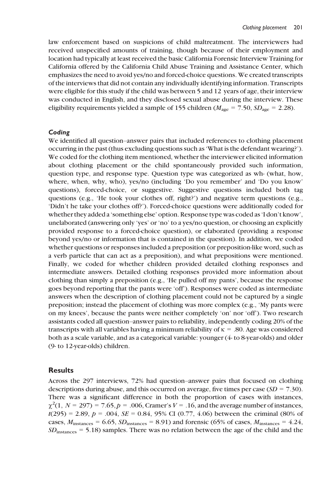law enforcement based on suspicions of child maltreatment. The interviewers had received unspecified amounts of training, though because of their employment and location had typically at least received the basic California Forensic Interview Training for California offered by the California Child Abuse Training and Assistance Center, which emphasizes the need to avoid yes/no and forced-choice questions. We created transcripts of the interviews that did not contain any individually identifying information. Transcripts were eligible for this study if the child was between 5 and 12 years of age, their interview was conducted in English, and they disclosed sexual abuse during the interview. These eligibility requirements yielded a sample of 155 children ( $M_{\text{age}} = 7.50$ ,  $SD_{\text{age}} = 2.28$ ).

#### Coding

We identified all question–answer pairs that included references to clothing placement occurring in the past (thus excluding questions such as 'What is the defendant wearing?'). We coded for the clothing item mentioned, whether the interviewer elicited information about clothing placement or the child spontaneously provided such information, question type, and response type. Question type was categorized as wh- (what, how, where, when, why, who), yes/no (including 'Do you remember' and 'Do you know' questions), forced-choice, or suggestive. Suggestive questions included both tag questions (e.g., 'He took your clothes off, right?') and negative term questions (e.g., 'Didn't he take your clothes off?'). Forced-choice questions were additionally coded for whether they added a 'something else' option. Response type was coded as 'I don't know', unelaborated (answering only 'yes' or 'no' to a yes/no question, or choosing an explicitly provided response to a forced-choice question), or elaborated (providing a response beyond yes/no or information that is contained in the question). In addition, we coded whether questions or responses included a preposition (or preposition-like word, such as a verb particle that can act as a preposition), and what prepositions were mentioned. Finally, we coded for whether children provided detailed clothing responses and intermediate answers. Detailed clothing responses provided more information about clothing than simply a preposition (e.g., 'He pulled off my pants', because the response goes beyond reporting that the pants were 'off'). Responses were coded as intermediate answers when the description of clothing placement could not be captured by a single preposition; instead the placement of clothing was more complex (e.g., 'My pants were on my knees', because the pants were neither completely 'on' nor 'off'). Two research assistants coded all question–answer pairs to reliability, independently coding 20% of the transcripts with all variables having a minimum reliability of  $\kappa = .80$ . Age was considered both as a scale variable, and as a categorical variable: younger (4- to 8-year-olds) and older (9- to 12-year-olds) children.

# Results

Across the 297 interviews, 72% had question–answer pairs that focused on clothing descriptions during abuse, and this occurred on average, five times per case  $(SD = 7.30)$ . There was a significant difference in both the proportion of cases with instances,  $\chi^2(1, N = 297) = 7.65, p = .006$ , Cramer's  $V = .16$ , and the average number of instances,  $t(295) = 2.89, p = .004, SE = 0.84, 95\%$  CI (0.77, 4.06) between the criminal (80% of cases,  $M_{\text{instances}} = 6.65$ ,  $SD_{\text{instances}} = 8.91$  and forensic (65% of cases,  $M_{\text{instances}} = 4.24$ ,  $SD<sub>instances</sub> = 5.18)$  samples. There was no relation between the age of the child and the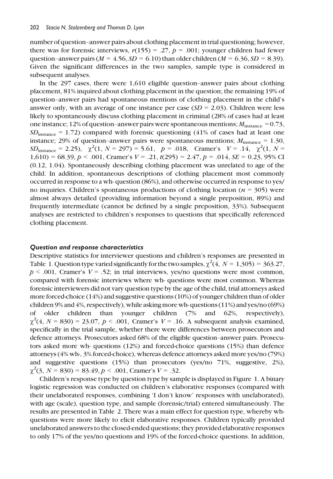number of question–answer pairs about clothing placement in trial questioning; however, there was for forensic interviews,  $r(155) = .27$ ,  $p = .001$ ; younger children had fewer question–answer pairs ( $M = 4.56$ ,  $SD = 6.10$ ) than older children ( $M = 6.36$ ,  $SD = 8.39$ ). Given the significant differences in the two samples, sample type is considered in subsequent analyses.

In the 297 cases, there were 1,610 eligible question–answer pairs about clothing placement, 81% inquired about clothing placement in the question; the remaining 19% of question–answer pairs had spontaneous mentions of clothing placement in the child's answer only, with an average of one instance per case  $(SD = 2.03)$ . Children were less likely to spontaneously discuss clothing placement in criminal (28% of cases had at least one instance; 12% of question–answer pairs were spontaneous mentions;  $M_{\text{instance}} = 0.73$ ,  $SD<sub>instance</sub> = 1.72$ ) compared with forensic questioning (41% of cases had at least one instance; 29% of question–answer pairs were spontaneous mentions;  $M_{\text{instance}} = 1.30$ ,  $SD_{\text{instance}} = 2.25$ ,  $\chi^2(1, N = 297) = 5.61$ ,  $p = .018$ , Cramer's  $V = .14$ ,  $\chi^2(1, N = 11)$ 1,610) = 68.39,  $p < .001$ , Cramer's  $V = .21$ ,  $t(295) = 2.47$ ,  $p = .014$ ,  $SE = 0.23$ , 95% CI (0.12, 1.04). Spontaneously describing clothing placement was unrelated to age of the child. In addition, spontaneous descriptions of clothing placement most commonly occurred in response to a wh- question (86%), and otherwise occurred in response to yes/ no inquiries. Children's spontaneous productions of clothing location ( $n = 305$ ) were almost always detailed (providing information beyond a single preposition, 89%) and frequently intermediate (cannot be defined by a single preposition, 33%). Subsequent analyses are restricted to children's responses to questions that specifically referenced clothing placement.

#### Question and response characteristics

Descriptive statistics for interviewer questions and children's responses are presented in Table 1. Question type varied significantly for the two samples,  $\chi^2(4, N = 1,305) = 363.27$ ,  $p < .001$ , Cramer's  $V = .52$ ; in trial interviews, yes/no questions were most common, compared with forensic interviews where wh- questions were most common. Whereas forensic interviewers did not vary question type by the age of the child, trial attorneys asked more forced-choice (14%) and suggestive questions (10%) of younger children than of older children 9% and 4%, respectively), while asking more wh- questions (11%) and yes/no (69%) of older children than younger children (7% and 62%, respectively),  $\chi^2(4, N = 830) = 23.07, p < .001$ , Cramer's  $V = .16$ . A subsequent analysis examined, specifically in the trial sample, whether there were differences between prosecutors and defence attorneys. Prosecutors asked 68% of the eligible question–answer pairs. Prosecutors asked more wh- questions (12%) and forced-choice questions (15%) than defence attorneys (4% wh-, 3% forced-choice), whereas defence attorneys asked more yes/no (79%) and suggestive questions (15%) than prosecutors (yes/no 71%, suggestive, 2%),  $\chi^2$ (3, N = 830) = 83.49, p < .001, Cramer's V = .32.

Children's response type by question type by sample is displayed in Figure 1. A binary logistic regression was conducted on children's elaborative responses (compared with their unelaborated responses, combining 'I don't know' responses with unelaborated), with age (scale), question type, and sample (forensic/trial) entered simultaneously. The results are presented in Table 2. There was a main effect for question type, whereby whquestions were more likely to elicit elaborative responses. Children typically provided unelaborated answers to the closed-ended questions; they provided elaborative responses to only 17% of the yes/no questions and 19% of the forced-choice questions. In addition,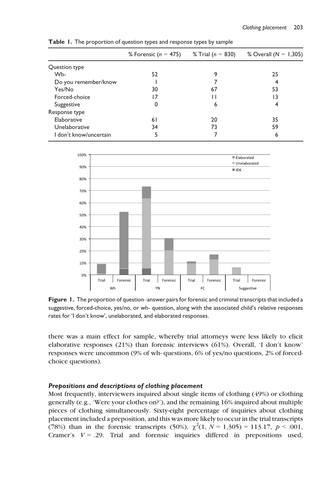|                        | % Forensic ( $n = 475$ ) | % Trial ( $n = 830$ ) | % Overall $(N = 1,305)$ |
|------------------------|--------------------------|-----------------------|-------------------------|
| Question type          |                          |                       |                         |
| Wh-                    | 52                       | 9                     | 25                      |
| Do you remember/know   |                          |                       |                         |
| Yes/No                 | 30                       | 67                    | 53                      |
| Forced-choice          | 17                       |                       | 13                      |
| Suggestive             | 0                        | 6                     |                         |
| Response type          |                          |                       |                         |
| Elaborative            | 61                       | 20                    | 35                      |
| Unelaborative          | 34                       | 73                    | 59                      |
| I don't know/uncertain |                          |                       | 6                       |

Table 1. The proportion of question types and response types by sample



Figure 1. The proportion of question–answer pairs for forensic and criminal transcripts that included a suggestive, forced-choice, yes/no, or wh- question, along with the associated child's relative responses rates for 'I don't know', unelaborated, and elaborated responses.

there was a main effect for sample, whereby trial attorneys were less likely to elicit elaborative responses (21%) than forensic interviews (61%). Overall, 'I don't know' responses were uncommon (9% of wh- questions, 6% of yes/no questions, 2% of forcedchoice questions).

#### Prepositions and descriptions of clothing placement

Most frequently, interviewers inquired about single items of clothing (49%) or clothing generally (e.g., 'Were your clothes on?'), and the remaining 16% inquired about multiple pieces of clothing simultaneously. Sixty-eight percentage of inquiries about clothing placement included a preposition, and this was more likely to occur in the trial transcripts (78%) than in the forensic transcripts (50%),  $\chi^2(1, N = 1,305) = 113.17, p < .001$ , Cramer's  $V = .29$ . Trial and forensic inquiries differed in prepositions used,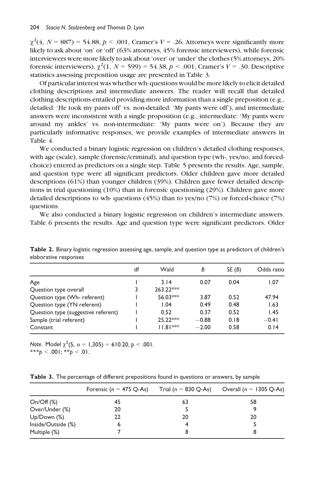$\chi^2$ (4, N = 887) = 54.88, p < .001, Cramer's V = .26. Attorneys were significantly more likely to ask about 'on' or 'off' (63% attorneys, 45% forensic interviewers), while forensic interviewers were more likely to ask about 'over' or 'under' the clothes (5% attorneys, 20% forensic interviewers),  $\chi^2(1, N = 599) = 54.38, p < .001$ , Cramer's  $V = .30$ . Descriptive statistics assessing preposition usage are presented in Table 3.

Of particular interest was whether wh- questions would be more likely to elicit detailed clothing descriptions and intermediate answers. The reader will recall that detailed clothing descriptions entailed providing more information than a single preposition (e.g., detailed: 'He took my pants off' vs. non-detailed: 'My pants were off'), and intermediate answers were inconsistent with a single proposition (e.g., intermediate: 'My pants were around my ankles' vs. non-intermediate: 'My pants were on'). Because they are particularly informative responses, we provide examples of intermediate answers in Table 4.

We conducted a binary logistic regression on children's detailed clothing responses, with age (scale), sample (forensic/criminal), and question type (wh-, yes/no, and forcedchoice) entered as predictors on a single step. Table 5 presents the results. Age, sample, and question type were all significant predictors. Older children gave more detailed descriptions (61%) than younger children (39%). Children gave fewer detailed descriptions in trial questioning (10%) than in forensic questioning (29%). Children gave more detailed descriptions to wh- questions (45%) than to yes/no (7%) or forced-choice (7%) questions.

We also conducted a binary logistic regression on children's intermediate answers. Table 6 presents the results. Age and question type were significant predictors. Older

|                                     | df | Wald                 | B       | SE(B) | Odds ratio |
|-------------------------------------|----|----------------------|---------|-------|------------|
| Age                                 |    | 3.14                 | 0.07    | 0.04  | 1.07       |
| Question type overall               |    | 263.22***            |         |       |            |
| Question type (Wh- referent)        |    | 56.03 <sup>***</sup> | 3.87    | 0.52  | 47.94      |
| Question type (YN referent)         |    | 1.04                 | 0.49    | 0.48  | 1.63       |
| Question type (suggestive referent) |    | 0.52                 | 0.37    | 0.52  | 1.45       |
| Sample (trial referent)             |    | $25.22***$           | $-0.88$ | 0.18  | $-0.41$    |
| Constant                            |    | $11.81***$           | $-2.00$ | 0.58  | 0.14       |
|                                     |    |                      |         |       |            |

Table 2. Binary logistic regression assessing age, sample, and question type as predictors of children's elaborative responses

Note. Model  $\chi^2(5, n = 1,305) = 610.20, p < .001$ .  $***p < .001; **p < .01$ .

Table 3. The percentage of different prepositions found in questions or answers, by sample

|                    | Forensic ( $n = 475$ Q-As) Trial ( $n = 830$ Q-As) |    | Overall ( $n = 1305$ Q-As) |
|--------------------|----------------------------------------------------|----|----------------------------|
|                    |                                                    |    |                            |
| $On/Off$ $(\%)$    | 45                                                 | 63 | 58                         |
| Over/Under (%)     | 20                                                 |    | 9                          |
| Up/Down (%)        | 22                                                 | 20 | 20                         |
| Inside/Outside (%) | 6                                                  |    |                            |
| Multiple (%)       |                                                    | 8  | 8                          |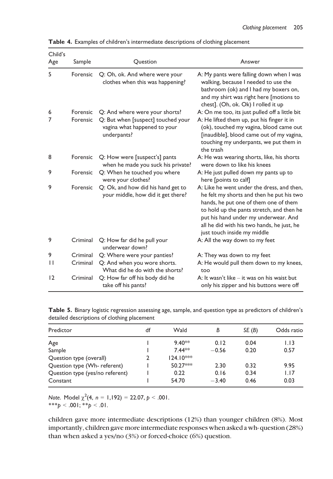| Child's<br>Age | Sample   | Question                                                                          | Answer                                                                                                                                                                                                                                                                                             |
|----------------|----------|-----------------------------------------------------------------------------------|----------------------------------------------------------------------------------------------------------------------------------------------------------------------------------------------------------------------------------------------------------------------------------------------------|
| 5              | Forensic | Q: Oh, ok. And where were your<br>clothes when this was happening?                | A: My pants were falling down when I was<br>walking, because I needed to use the<br>bathroom (ok) and I had my boxers on,<br>and my shirt was right here [motions to<br>chest]. (Oh, ok. Ok) I rolled it up                                                                                        |
| 6              | Forensic | Q: And where were your shorts?                                                    | A: On me too, its just pulled off a little bit                                                                                                                                                                                                                                                     |
| 7              | Forensic | Q: But when [suspect] touched your<br>vagina what happened to your<br>underpants? | A: He lifted them up, put his finger it in<br>(ok), touched my vagina, blood came out<br>[inaudible], blood came out of my vagina,<br>touching my underpants, we put them in<br>the trash                                                                                                          |
| 8              | Forensic | Q: How were [suspect's] pants<br>when he made you suck his private?               | A: He was wearing shorts, like, his shorts<br>were down to like his knees                                                                                                                                                                                                                          |
| 9              | Forensic | Q: When he touched you where<br>were your clothes?                                | A: He just pulled down my pants up to<br>here [points to calf]                                                                                                                                                                                                                                     |
| 9              | Forensic | Q: Ok, and how did his hand get to<br>your middle, how did it get there?          | A: Like he went under the dress, and then,<br>he felt my shorts and then he put his two<br>hands, he put one of them one of them<br>to hold up the pants stretch, and then he<br>put his hand under my underwear. And<br>all he did with his two hands, he just, he<br>just touch inside my middle |
| 9              | Criminal | Q: How far did he pull your<br>underwear down?                                    | A: All the way down to my feet                                                                                                                                                                                                                                                                     |
| 9              | Criminal | Q: Where were your panties?                                                       | A: They was down to my feet                                                                                                                                                                                                                                                                        |
| $\mathsf{I}$   | Criminal | Q: And when you wore shorts.<br>What did he do with the shorts?                   | A: He would pull them down to my knees,<br>too                                                                                                                                                                                                                                                     |
| 12             | Criminal | Q: How far off his body did he<br>take off his pants?                             | A: It wasn't like – it was on his waist but<br>only his zipper and his buttons were off                                                                                                                                                                                                            |

Table 4. Examples of children's intermediate descriptions of clothing placement

Table 5. Binary logistic regression assessing age, sample, and question type as predictors of children's detailed descriptions of clothing placement

| Predictor                       | df | Wald                 | В       | SE (B) | Odds ratio |
|---------------------------------|----|----------------------|---------|--------|------------|
| Age                             |    | $9.40**$             | 0.12    | 0.04   | 1.13       |
| Sample                          |    | $7.44**$             | $-0.56$ | 0.20   | 0.57       |
| Question type (overall)         |    | $124.10***$          |         |        |            |
| Question type (Wh- referent)    |    | 50.27 <sup>***</sup> | 2.30    | 0.32   | 9.95       |
| Question type (yes/no referent) |    | 0.22                 | 0.16    | 0.34   | 1.17       |
| Constant                        |    | 54.70                | $-3.40$ | 0.46   | 0.03       |

Note. Model  $\chi^2(4, n = 1,192) = 22.07, p < .001$ . \*\*\*p < .001; \*\*p < .01.

children gave more intermediate descriptions (12%) than younger children (8%). Most importantly, children gave more intermediate responses when asked a wh- question (28%) than when asked a yes/no (3%) or forced-choice (6%) question.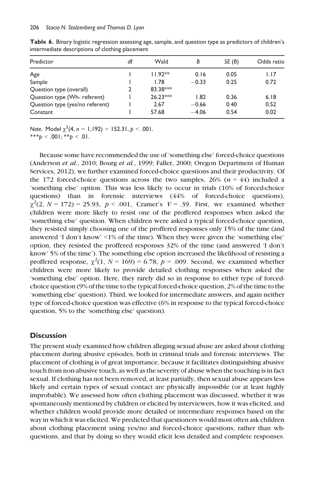| Predictor                       | df             | Wald       | В       | SE(B) | Odds ratio |
|---------------------------------|----------------|------------|---------|-------|------------|
| Age                             |                | $11.92**$  | 0.16    | 0.05  | 1.17       |
| Sample                          |                | 1.78       | $-0.33$ | 0.25  | 0.72       |
| Question type (overall)         | $\mathfrak{D}$ | 83.38***   |         |       |            |
| Question type (Wh- referent)    |                | $26.23***$ | 1.82    | 0.36  | 6.18       |
| Question type (yes/no referent) |                | 2.67       | $-0.66$ | 0.40  | 0.52       |
| Constant                        |                | 57.68      | $-4.06$ | 0.54  | 0.02       |

Table 6. Binary logistic regression assessing age, sample, and question type as predictors of children's intermediate descriptions of clothing placement

Note. Model  $\chi^2(4, n = 1,192) = 152.31, p < .001$ .

\*\*\*p < .001; \*\*p < .01.

Because some have recommended the use of 'something else' forced-choice questions (Anderson et al., 2010; Bourg et al., 1999; Faller, 2000; Oregon Department of Human Services, 2012), we further examined forced-choice questions and their productivity. Of the 172 forced-choice questions across the two samples, 26% ( $n = 44$ ) included a 'something else' option. This was less likely to occur in trials (10% of forced-choice questions) than in forensic interviews (44% of forced-choice questions),  $\chi^2(2, N = 172) = 25.93, p < .001$ , Cramer's  $V = .39$ . First, we examined whether children were more likely to resist one of the proffered responses when asked the 'something else' question. When children were asked a typical forced-choice question, they resisted simply choosing one of the proffered responses only 15% of the time (and answered 'I don't know' <1% of the time). When they were given the 'something else' option, they resisted the proffered responses 32% of the time (and answered 'I don't know' 5% of the time'). The something else option increased the likelihood of resisting a proffered response,  $\chi^2(1, N = 169) = 6.78$ ,  $p = .009$ . Second, we examined whether children were more likely to provide detailed clothing responses when asked the 'something else' option. Here, they rarely did so in response to either type of forcedchoice question (9% of the time to the typical forced-choice question, 2% of the time to the 'something else' question). Third, we looked for intermediate answers, and again neither type of forced-choice question was effective (6% in response to the typical forced-choice question, 5% to the 'something else' question).

# **Discussion**

The present study examined how children alleging sexual abuse are asked about clothing placement during abusive episodes, both in criminal trials and forensic interviews. The placement of clothing is of great importance, because it facilitates distinguishing abusive touch from non-abusive touch, as well as the severity of abuse when the touching is in fact sexual. If clothing has not been removed, at least partially, then sexual abuse appears less likely and certain types of sexual contact are physically impossible (or at least highly improbable). We assessed how often clothing placement was discussed, whether it was spontaneously mentioned by children or elicited by interviewers, how it was elicited, and whether children would provide more detailed or intermediate responses based on the way in which it was elicited. We predicted that questioners would most often ask children about clothing placement using yes/no and forced-choice questions, rather than whquestions, and that by doing so they would elicit less detailed and complete responses.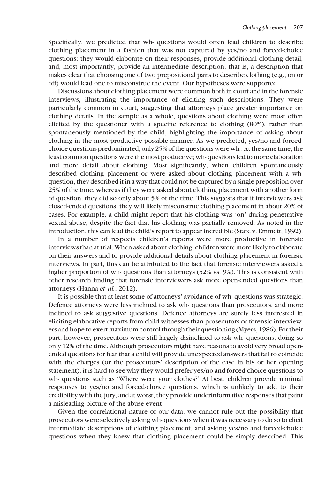Specifically, we predicted that wh- questions would often lead children to describe clothing placement in a fashion that was not captured by yes/no and forced-choice questions: they would elaborate on their responses, provide additional clothing detail, and, most importantly, provide an intermediate description, that is, a description that makes clear that choosing one of two prepositional pairs to describe clothing (e.g., on or off) would lead one to misconstrue the event. Our hypotheses were supported.

Discussions about clothing placement were common both in court and in the forensic interviews, illustrating the importance of eliciting such descriptions. They were particularly common in court, suggesting that attorneys place greater importance on clothing details. In the sample as a whole, questions about clothing were most often elicited by the questioner with a specific reference to clothing (80%), rather than spontaneously mentioned by the child, highlighting the importance of asking about clothing in the most productive possible manner. As we predicted, yes/no and forcedchoice questions predominated; only 25% of the questions were wh-. At the same time, the least common questions were the most productive; wh- questions led to more elaboration and more detail about clothing. Most significantly, when children spontaneously described clothing placement or were asked about clothing placement with a whquestion, they described it in a way that could not be captured by a single preposition over 25% of the time, whereas if they were asked about clothing placement with another form of question, they did so only about 5% of the time. This suggests that if interviewers ask closed-ended questions, they will likely misconstrue clothing placement in about 20% of cases. For example, a child might report that his clothing was 'on' during penetrative sexual abuse, despite the fact that his clothing was partially removed. As noted in the introduction, this can lead the child's report to appear incredible (State v. Emmett, 1992).

In a number of respects children's reports were more productive in forensic interviews than at trial. When asked about clothing, children were more likely to elaborate on their answers and to provide additional details about clothing placement in forensic interviews. In part, this can be attributed to the fact that forensic interviewers asked a higher proportion of wh- questions than attorneys (52% vs. 9%). This is consistent with other research finding that forensic interviewers ask more open-ended questions than attorneys (Hanna et al., 2012).

It is possible that at least some of attorneys' avoidance of wh- questions was strategic. Defence attorneys were less inclined to ask wh- questions than prosecutors, and more inclined to ask suggestive questions. Defence attorneys are surely less interested in eliciting elaborative reports from child witnesses than prosecutors or forensic interviewers and hope to exert maximum control through their questioning (Myers, 1986). For their part, however, prosecutors were still largely disinclined to ask wh- questions, doing so only 12% of the time. Although prosecutors might have reasons to avoid very broad openended questions for fear that a child will provide unexpected answers that fail to coincide with the charges (or the prosecutors' description of the case in his or her opening statement), it is hard to see why they would prefer yes/no and forced-choice questions to wh- questions such as 'Where were your clothes?' At best, children provide minimal responses to yes/no and forced-choice questions, which is unlikely to add to their credibility with the jury, and at worst, they provide underinformative responses that paint a misleading picture of the abuse event.

Given the correlational nature of our data, we cannot rule out the possibility that prosecutors were selectively asking wh- questions when it was necessary to do so to elicit intermediate descriptions of clothing placement, and asking yes/no and forced-choice questions when they knew that clothing placement could be simply described. This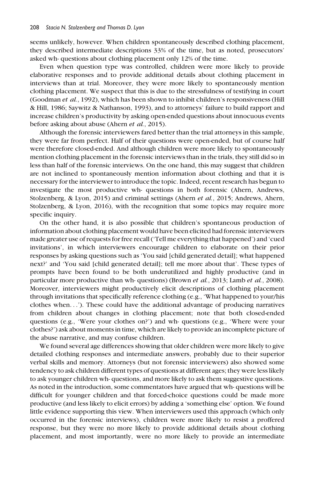seems unlikely, however. When children spontaneously described clothing placement, they described intermediate descriptions 33% of the time, but as noted, prosecutors' asked wh- questions about clothing placement only 12% of the time.

Even when question type was controlled, children were more likely to provide elaborative responses and to provide additional details about clothing placement in interviews than at trial. Moreover, they were more likely to spontaneously mention clothing placement. We suspect that this is due to the stressfulness of testifying in court (Goodman et al., 1992), which has been shown to inhibit children's responsiveness (Hill & Hill, 1986; Saywitz & Nathanson, 1993), and to attorneys' failure to build rapport and increase children's productivity by asking open-ended questions about innocuous events before asking about abuse (Ahern et al., 2015).

Although the forensic interviewers fared better than the trial attorneys in this sample, they were far from perfect. Half of their questions were open-ended, but of course half were therefore closed-ended. And although children were more likely to spontaneously mention clothing placement in the forensic interviews than in the trials, they still did so in less than half of the forensic interviews. On the one hand, this may suggest that children are not inclined to spontaneously mention information about clothing and that it is necessary for the interviewer to introduce the topic. Indeed, recent research has begun to investigate the most productive wh- questions in both forensic (Ahern, Andrews, Stolzenberg, & Lyon, 2015) and criminal settings (Ahern et al., 2015; Andrews, Ahern, Stolzenberg, & Lyon, 2016), with the recognition that some topics may require more specific inquiry.

On the other hand, it is also possible that children's spontaneous production of information about clothing placement would have been elicited had forensic interviewers made greater use of requests for free recall ('Tell me everything that happened') and 'cued invitations', in which interviewers encourage children to elaborate on their prior responses by asking questions such as 'You said [child generated detail]; what happened next?' and 'You said [child generated detail]; tell me more about that'. These types of prompts have been found to be both underutilized and highly productive (and in particular more productive than wh- questions) (Brown et al., 2013; Lamb et al., 2008). Moreover, interviewers might productively elicit descriptions of clothing placement through invitations that specifically reference clothing (e.g., 'What happened to your/his clothes when...'). These could have the additional advantage of producing narratives from children about changes in clothing placement; note that both closed-ended questions (e.g., 'Were your clothes on?') and wh- questions (e.g., 'Where were your clothes?') ask about moments in time, which are likely to provide an incomplete picture of the abuse narrative, and may confuse children.

We found several age differences showing that older children were more likely to give detailed clothing responses and intermediate answers, probably due to their superior verbal skills and memory. Attorneys (but not forensic interviewers) also showed some tendency to ask children different types of questions at different ages; they were less likely to ask younger children wh- questions, and more likely to ask them suggestive questions. As noted in the introduction, some commentators have argued that wh- questions will be difficult for younger children and that forced-choice questions could be made more productive (and less likely to elicit errors) by adding a 'something else' option. We found little evidence supporting this view. When interviewers used this approach (which only occurred in the forensic interviews), children were more likely to resist a proffered response, but they were no more likely to provide additional details about clothing placement, and most importantly, were no more likely to provide an intermediate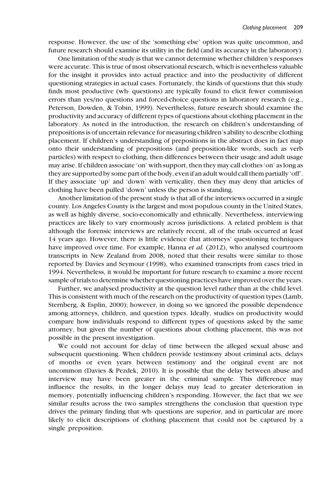response. However, the use of the 'something else' option was quite uncommon, and future research should examine its utility in the field (and its accuracy in the laboratory).

One limitation of the study is that we cannot determine whether children's responses were accurate. This is true of most observational research, which is nevertheless valuable for the insight it provides into actual practice and into the productivity of different questioning strategies in actual cases. Fortunately, the kinds of questions that this study finds most productive (wh- questions) are typically found to elicit fewer commission errors than yes/no questions and forced-choice questions in laboratory research (e.g., Peterson, Dowden, & Tobin, 1999). Nevertheless, future research should examine the productivity and accuracy of different types of questions about clothing placement in the laboratory. As noted in the introduction, the research on children's understanding of prepositions is of uncertain relevance for measuring children's ability to describe clothing placement. If children's understanding of prepositions in the abstract does in fact map onto their understanding of prepositions (and preposition-like words, such as verb particles) with respect to clothing, then differences between their usage and adult usage may arise. If children associate 'on' with support, then they may call clothes 'on' as long as they are supported by some part of the body, even if an adult would call them partially 'off'. If they associate 'up' and 'down' with verticality, then they may deny that articles of clothing have been pulled 'down' unless the person is standing.

Another limitation of the present study is that all of the interviews occurred in a single county. Los Angeles County is the largest and most populous county in the United States, as well as highly diverse, socio-economically and ethnically. Nevertheless, interviewing practices are likely to vary enormously across jurisdictions. A related problem is that although the forensic interviews are relatively recent, all of the trials occurred at least 14 years ago. However, there is little evidence that attorneys' questioning techniques have improved over time. For example, Hanna et al. (2012), who analysed courtroom transcripts in New Zealand from 2008, noted that their results were similar to those reported by Davies and Seymour (1998), who examined transcripts from cases tried in 1994. Nevertheless, it would be important for future research to examine a more recent sample of trials to determine whether questioning practices have improved over the years.

Further, we analysed productivity at the question level rather than at the child level. This is consistent with much of the research on the productivity of question types (Lamb, Sternberg, & Esplin, 2000); however, in doing so we ignored the possible dependence among attorneys, children, and question types. Ideally, studies on productivity would compare how individuals respond to different types of questions asked by the same attorney, but given the number of questions about clothing placement, this was not possible in the present investigation.

We could not account for delay of time between the alleged sexual abuse and subsequent questioning. When children provide testimony about criminal acts, delays of months or even years between testimony and the original event are not uncommon (Davies & Pezdek, 2010). It is possible that the delay between abuse and interview may have been greater in the criminal sample. This difference may influence the results, in the longer delays may lead to greater deterioration in memory, potentially influencing children's responding. However, the fact that we see similar results across the two samples strengthens the conclusion that question type drives the primary finding that wh- questions are superior, and in particular are more likely to elicit descriptions of clothing placement that could not be captured by a single preposition.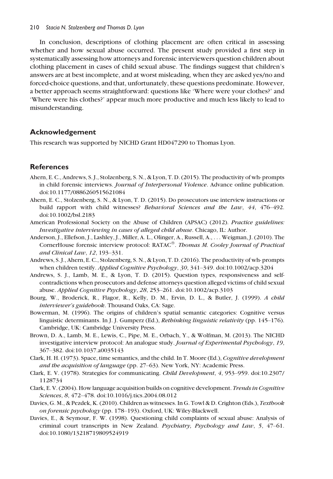In conclusion, descriptions of clothing placement are often critical in assessing whether and how sexual abuse occurred. The present study provided a first step in systematically assessing how attorneys and forensic interviewers question children about clothing placement in cases of child sexual abuse. The findings suggest that children's answers are at best incomplete, and at worst misleading, when they are asked yes/no and forced-choice questions, and that, unfortunately, these questions predominate. However, a better approach seems straightforward: questions like 'Where were your clothes?' and 'Where were his clothes?' appear much more productive and much less likely to lead to misunderstanding.

### Acknowledgement

This research was supported by NICHD Grant HD047290 to Thomas Lyon.

# **References**

- Ahern, E. C., Andrews, S. J., Stolzenberg, S. N., & Lyon, T. D. (2015). The productivity of wh- prompts in child forensic interviews. Journal of Interpersonal Violence. Advance online publication. doi:[10.1177/0886260515621084](http://dx.doi.org/10.1177/0886260515621084)
- Ahern, E. C., Stolzenberg, S. N., & Lyon, T. D. (2015). Do prosecutors use interview instructions or build rapport with child witnesses? Behavioral Sciences and the Law, 44, 476–492. doi:[10.1002/bsl.2183](http://dx.doi.org/10.1002/bsl.2183)
- American Professional Society on the Abuse of Children (APSAC) (2012). Practice guidelines: Investigative interviewing in cases of alleged child abuse. Chicago, IL: Author.
- Anderson, J., Ellefson, J., Lashley, J., Miller, A. L., Olinger, A., Russell, A., ... Weigman, J. (2010). The CornerHouse forensic interview protocol: RATAC®. Thomas M. Cooley Journal of Practical and Clinical Law, 12, 193–331.
- Andrews, S. J., Ahern, E. C., Stolzenberg, S. N., & Lyon, T. D. (2016). The productivity of wh- prompts when children testify. Applied Cognitive Psychology, 30, 341–349. doi[:10.1002/acp.3204](http://dx.doi.org/10.1002/acp.3204)
- Andrews, S. J., Lamb, M. E., & Lyon, T. D. (2015). Question types, responsiveness and selfcontradictions when prosecutors and defense attorneys question alleged victims of child sexual abuse. Applied Cognitive Psychology, 28, 253–261. doi:[10.1002/acp.3103](http://dx.doi.org/10.1002/acp.3103)
- Bourg, W., Broderick, R., Flagor, R., Kelly, D. M., Ervin, D. L., & Butler, J. (1999). A child interviewer's guidebook. Thousand Oaks, CA: Sage.
- Bowerman, M. (1996). The origins of children's spatial semantic categories: Cognitive versus linguistic determinants. In J. J. Gumperz (Ed.), Rethinking linguistic relativity (pp. 145–176). Cambridge, UK: Cambridge University Press.
- Brown, D. A., Lamb, M. E., Lewis, C., Pipe, M. E., Orbach, Y., & Wolfman, M. (2013). The NICHD investigative interview protocol: An analogue study. *Journal of Experimental Psychology*, 19, 367–382. doi[:10.1037.a0035143](http://dx.doi.org/10.1037.a0035143)
- Clark, H. H. (1973). Space, time semantics, and the child. In T. Moore (Ed.), Cognitive development and the acquisition of language (pp. 27–63). New York, NY: Academic Press.
- Clark, E. V. (1978). Strategies for communicating. Child Development, 4, 953–959. doi:[10.2307/](http://dx.doi.org/10.2307/1128734) [1128734](http://dx.doi.org/10.2307/1128734)
- Clark, E. V. (2004). How language acquisition builds on cognitive development. Trends in Cognitive Sciences, 8, 472–478. doi[:10.1016/j.tics.2004.08.012](http://dx.doi.org/10.1016/j.tics.2004.08.012)
- Davies, G. M., & Pezdek, K. (2010). Children as witnesses. In G. Towl & D. Crighton (Eds.), Textbook on forensic psychology (pp. 178–193). Oxford, UK: Wiley-Blackwell.
- Davies, E., & Seymour, F. W. (1998). Questioning child complaints of sexual abuse: Analysis of criminal court transcripts in New Zealand. Psychiatry, Psychology and Law, 5, 47–61. doi:[10.1080/13218719809524919](http://dx.doi.org/10.1080/13218719809524919)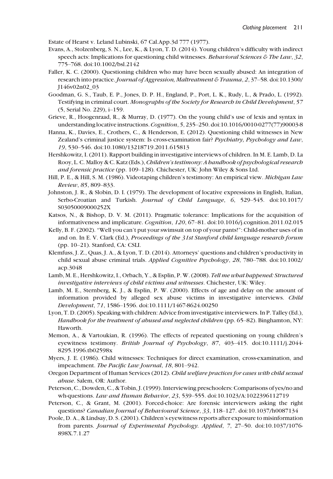Estate of Hearst v. Leland Lubinski, 67 Cal.App.3d 777 (1977).

- Evans, A., Stolzenberg, S. N., Lee, K., & Lyon, T. D. (2014). Young children's difficulty with indirect speech acts: Implications for questioning child witnesses. Behavioral Sciences & The Law, 32, 775–768. doi[:10.1002/bsl.2142](http://dx.doi.org/10.1002/bsl.2142)
- Faller, K. C. (2000). Questioning children who may have been sexually abused: An integration of research into practice. Journal of Aggression, Maltreatment & Trauma, 2, 37–58. doi:[10.1300/](http://dx.doi.org/10.1300/J146v02n02_03) [J146v02n02\\_03](http://dx.doi.org/10.1300/J146v02n02_03)
- Goodman, G. S., Taub, E. P., Jones, D. P. H., England, P., Port, L. K., Rudy, L., & Prado, L. (1992). Testifying in criminal court. Monographs of the Society for Research in Child Development, 57 (5, Serial No. 229), i–159.
- Grieve, R., Hoogenraad, R., & Murray, D. (1977). On the young child's use of lexis and syntax in understanding locative instructions.Cognition, 5, 235–250. doi[:10.1016/0010-0277\(77\)90003-8](http://dx.doi.org/10.1016/0010-0277(77)90003-8)
- Hanna, K., Davies, E., Crothers, C., & Henderson, E. (2012). Questioning child witnesses in New Zealand's criminal justice system: Is cross-examination fair? Psychiatry, Psychology and Law, 19, 530–546. doi[:10.1080/13218719.2011.615813](http://dx.doi.org/10.1080/13218719.2011.615813)
- Hershkowitz, I. (2011). Rapport building in investigative interviews of children. In M. E. Lamb, D. La Rooy, L. C. Malloy & C. Katz (Eds.), Children's testimony: A handbook of psychological research and forensic practice (pp. 109–128). Chichester, UK: John Wiley & Sons Ltd.
- Hill, P. E., & Hill, S. M. (1986). Videotaping children's testimony: An empirical view. Michigan Law Review, 85, 809–833.
- Johnston, J. R., & Slobin, D. I. (1979). The development of locative expressions in English, Italian, Serbo-Croatian and Turkish. Journal of Child Language, 6, 529–545. doi:[10.1017/](http://dx.doi.org/10.1017/S03050009000252X) [S03050009000252X](http://dx.doi.org/10.1017/S03050009000252X)
- Katsos, N., & Bishop, D. V. M. (2011). Pragmatic tolerance: Implications for the acquisition of informativeness and implicature. Cognition, 120, 67–81. doi[:10.1016/j.cognition.2011.02.015](http://dx.doi.org/10.1016/j.cognition.2011.02.015)
- Kelly, B. F. (2002). "Well you can't put your swimsuit on top of your pants!": Child-mother uses of in and on. In E. V. Clark (Ed.), Proceedings of the 31st Stanford child language research forum (pp. 10–21). Stanford, CA: CSLI.
- Klemfuss, J. Z., Quas, J. A., & Lyon, T. D. (2014). Attorneys' questions and children's productivity in child sexual abuse criminal trials. Applied Cognitive Psychology, 28, 780–788. doi:[10.1002/](http://dx.doi.org/10.1002/acp.3048) [acp.3048](http://dx.doi.org/10.1002/acp.3048)
- Lamb, M. E., Hershkowitz, I., Orbach, Y., & Esplin, P. W. (2008). Tell me what happened: Structured investigative interviews of child victims and witnesses. Chichester, UK: Wiley.
- Lamb, M. E., Sternberg, K. J., & Esplin, P. W. (2000). Effects of age and delay on the amount of information provided by alleged sex abuse victims in investigative interviews. Child Development, 71, 1586–1596. doi:[10.1111/1467-8624.00250](http://dx.doi.org/10.1111/1467-8624.00250)
- Lyon, T. D. (2005). Speaking with children: Advice from investigative interviewers. In P. Talley (Ed.), Handbook for the treatment of abused and neglected children (pp. 65–82). Binghamton, NY: Haworth.
- Memon, A., & Vartoukian, R. (1996). The effects of repeated questioning on young children's eyewitness testimony. British Journal of Psychology, 87, 403–415. doi[:10.1111/j.2044-](http://dx.doi.org/10.1111/j.2044-8295.1996.tb02598x) [8295.1996.tb02598x](http://dx.doi.org/10.1111/j.2044-8295.1996.tb02598x)
- Myers, J. E. (1986). Child witnesses: Techniques for direct examination, cross-examination, and impeachment. The Pacific Law Journal, 18, 801–942.
- Oregon Department of Human Services (2012). Child welfare practices for cases with child sexual abuse. Salem, OR: Author.
- Peterson, C., Dowden, C., & Tobin, J. (1999). Interviewing preschoolers: Comparisons of yes/no and wh-questions. Law and Human Behavior, 23, 539–555. doi:[10.1023/A:1022396112719](http://dx.doi.org/10.1023/A:1022396112719)
- Peterson, C., & Grant, M. (2001). Forced-choice: Are forensic interviewers asking the right questions? Canadian Journal of Behavioural Science, 33, 118–127. doi:[10.1037/h0087134](http://dx.doi.org/10.1037/h0087134)
- Poole, D. A., & Lindsay, D. S. (2001). Children's eyewitness reports after exposure to misinformation from parents. Journal of Experimental Psychology. Applied, 7, 27–50. doi:[10.1037/1076-](http://dx.doi.org/10.1037/1076-898X.7.1.27) [898X.7.1.27](http://dx.doi.org/10.1037/1076-898X.7.1.27)